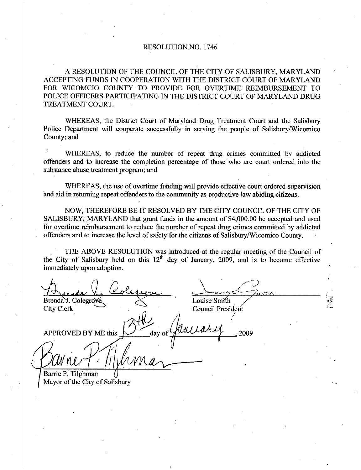## RESOLUTION NO. 1746

A RESOLUTION OF THE COUNCIL OF THE CITY OF SALISBURY MARYLAND ACCEPTING FUNDS IN COOPERATION WITH THE DISTRICT COURT OF MARYLAND FOR WICOMCIO COUNTY TO PROVIDE FOR OVERTIME REIMBURSEMENT TO POLICE OFFICERS PARTICIPATING IN THE DISTRICT COURT OF MARYLAND DRUG TREATMENT COURT.

WHEREAS, the District Court of Maryland Drug Treatment Court and the Salisbury Police Department will cooperate successfully in serving the people of Salisbury/Wicomico County; and

WHEREAS, to reduce the number of repeat drug crimes committed by addicted offenders and to increase the completion percentage of those who are court ordered into the substance abuse treatment program; and

WHEREAS, the use of overtime funding will provide effective court ordered supervision and aid in returning repeat offenders to the community as productive law abiding citizens

NOW, THEREFORE BE IT RESOLVED BY THE CITY COUNCIL OF THE CITY OF SALISBURY, MARYLAND that grant funds in the amount of \$4,000.00 be accepted and used WHEREAS, the use of overtime funding will provide effective court ordered supervision<br>and aid in returning repeat offenders to the community as productive law abiding citizens.<br>NOW, THEREFORE BE IT RESOLVED BY THE CITY COU offenders and to increase the level of safety for the citizens of Salisbury/Wicomico County.

THE ABOVE RESOLUTION was introduced at the regular meeting of the Council of THE ABOVE RESOLUTION was introduced at the regular meeting of the Council of the City of Salisbury held on this  $12<sup>th</sup>$  day of January, 2009, and is to become effective immediately upon adoption

Brenda J. Colegrove Louise Smith<br>City Clerk Council President Council President APPROVED BY ME this  $\sim$  day of  $\sqrt{u^2+v^2}$ , 2009 l  $\int$ Barrie P. Tilghman Mayor of the City of Salisbury r<br>ing<br>i